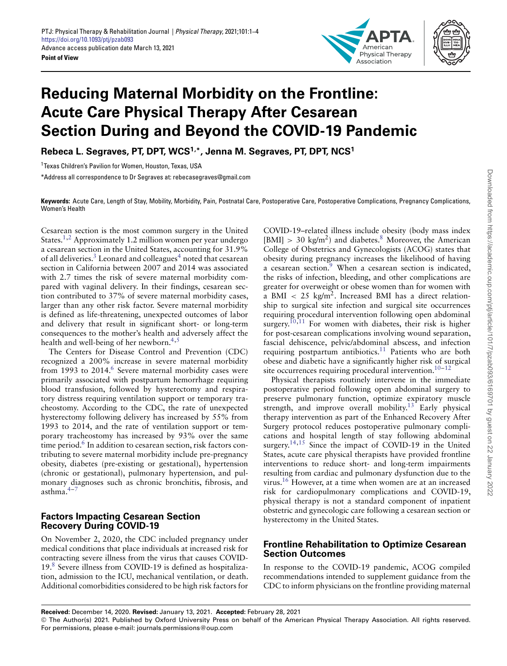

# **Reducing Maternal Morbidity on the Frontline: Acute Care Physical Therapy After Cesarean Section During and Beyond the COVID-19 Pandemic**

**Rebeca L. Segraves, PT, DPT, WCS1,\*, Jenna M. Segraves, PT, DPT, NCS1**

1Texas Children's Pavilion for Women, Houston, Texas, USA

\*Address all correspondence to Dr Segraves at: rebecasegraves@gmail.com

**Keywords:** Acute Care, Length of Stay, Mobility, Morbidity, Pain, Postnatal Care, Postoperative Care, Postoperative Complications, Pregnancy Complications, Women's Health

Cesarean section is the most common surgery in the United States[.1,](#page-2-0)[2](#page-2-1) Approximately 1.2 million women per year undergo a cesarean section in the United States, accounting for 31.9% of all deliveries.<sup>3</sup> Leonard and colleagues<sup>4</sup> noted that cesarean section in California between 2007 and 2014 was associated with 2.7 times the risk of severe maternal morbidity compared with vaginal delivery. In their findings, cesarean section contributed to 37% of severe maternal morbidity cases, larger than any other risk factor. Severe maternal morbidity is defined as life-threatening, unexpected outcomes of labor and delivery that result in significant short- or long-term consequences to the mother's health and adversely affect the health and well-being of her newborn.<sup>4,[5](#page-2-4)</sup>

The Centers for Disease Control and Prevention (CDC) recognized a 200% increase in severe maternal morbidity from 1993 to 2014.<sup>6</sup> Severe maternal morbidity cases were primarily associated with postpartum hemorrhage requiring blood transfusion, followed by hysterectomy and respiratory distress requiring ventilation support or temporary tracheostomy. According to the CDC, the rate of unexpected hysterectomy following delivery has increased by 55% from 1993 to 2014, and the rate of ventilation support or temporary tracheostomy has increased by 93% over the same time period.<sup>6</sup> In addition to cesarean section, risk factors contributing to severe maternal morbidity include pre-pregnancy obesity, diabetes (pre-existing or gestational), hypertension (chronic or gestational), pulmonary hypertension, and pulmonary diagnoses such as chronic bronchitis, fibrosis, and asthma[.4–](#page-2-3)[7](#page-2-6)

## **Factors Impacting Cesarean Section Recovery During COVID-19**

On November 2, 2020, the CDC included pregnancy under medical conditions that place individuals at increased risk for contracting severe illness from the virus that causes COVID-19[.8](#page-2-7) Severe illness from COVID-19 is defined as hospitalization, admission to the ICU, mechanical ventilation, or death. Additional comorbidities considered to be high risk factors for

COVID-19–related illness include obesity (body mass index  $[BMI] > 30 \text{ kg/m}^2$  and diabetes.<sup>8</sup> Moreover, the American College of Obstetrics and Gynecologists (ACOG) states that obesity during pregnancy increases the likelihood of having a cesarean section.<sup>9</sup> When a cesarean section is indicated, the risks of infection, bleeding, and other complications are greater for overweight or obese women than for women with a BMI *<* 25 kg/m2. Increased BMI has a direct relationship to surgical site infection and surgical site occurrences requiring procedural intervention following open abdominal surgery.<sup>10,[11](#page-2-10)</sup> For women with diabetes, their risk is higher for post-cesarean complications involving wound separation, fascial dehiscence, pelvic/abdominal abscess, and infection requiring postpartum antibiotics.<sup>11</sup> Patients who are both obese and diabetic have a significantly higher risk of surgical site occurrences requiring procedural intervention.<sup>10-12</sup>

Physical therapists routinely intervene in the immediate postoperative period following open abdominal surgery to preserve pulmonary function, optimize expiratory muscle strength, and improve overall mobility.<sup>13</sup> Early physical therapy intervention as part of the Enhanced Recovery After Surgery protocol reduces postoperative pulmonary complications and hospital length of stay following abdominal surgery.<sup>14,[15](#page-2-14)</sup> Since the impact of COVID-19 in the United States, acute care physical therapists have provided frontline interventions to reduce short- and long-term impairments resulting from cardiac and pulmonary dysfunction due to the virus[.16](#page-2-15) However, at a time when women are at an increased risk for cardiopulmonary complications and COVID-19, physical therapy is not a standard component of inpatient obstetric and gynecologic care following a cesarean section or hysterectomy in the United States.

## **Frontline Rehabilitation to Optimize Cesarean Section Outcomes**

In response to the COVID-19 pandemic, ACOG compiled recommendations intended to supplement guidance from the CDC to inform physicians on the frontline providing maternal

**Received:** December 14, 2020. **Revised:** January 13, 2021. **Accepted:** February 28, 2021

© The Author(s) 2021. Published by Oxford University Press on behalf of the American Physical Therapy Association. All rights reserved. For permissions, please e-mail: journals.permissions@oup.com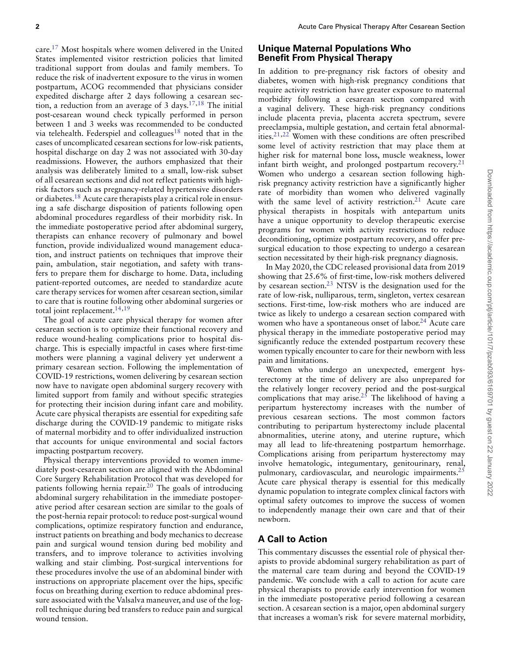care[.17](#page-2-16) Most hospitals where women delivered in the United States implemented visitor restriction policies that limited traditional support from doulas and family members. To reduce the risk of inadvertent exposure to the virus in women postpartum, ACOG recommended that physicians consider expedited discharge after 2 days following a cesarean sec-tion, a reduction from an average of 3 days.<sup>17,[18](#page-2-17)</sup> The initial post-cesarean wound check typically performed in person between 1 and 3 weeks was recommended to be conducted via telehealth. Federspiel and colleagues<sup>18</sup> noted that in the cases of uncomplicated cesarean sections for low-risk patients, hospital discharge on day 2 was not associated with 30-day readmissions. However, the authors emphasized that their analysis was deliberately limited to a small, low-risk subset of all cesarean sections and did not reflect patients with highrisk factors such as pregnancy-related hypertensive disorders or diabetes[.18](#page-2-17) Acute care therapists play a critical role in ensuring a safe discharge disposition of patients following open abdominal procedures regardless of their morbidity risk. In the immediate postoperative period after abdominal surgery, therapists can enhance recovery of pulmonary and bowel function, provide individualized wound management education, and instruct patients on techniques that improve their pain, ambulation, stair negotiation, and safety with transfers to prepare them for discharge to home. Data, including patient-reported outcomes, are needed to standardize acute care therapy services for women after cesarean section, similar to care that is routine following other abdominal surgeries or total joint replacement.<sup>14,[19](#page-2-18)</sup>

The goal of acute care physical therapy for women after cesarean section is to optimize their functional recovery and reduce wound-healing complications prior to hospital discharge. This is especially impactful in cases where first-time mothers were planning a vaginal delivery yet underwent a primary cesarean section. Following the implementation of COVID-19 restrictions, women delivering by cesarean section now have to navigate open abdominal surgery recovery with limited support from family and without specific strategies for protecting their incision during infant care and mobility. Acute care physical therapists are essential for expediting safe discharge during the COVID-19 pandemic to mitigate risks of maternal morbidity and to offer individualized instruction that accounts for unique environmental and social factors impacting postpartum recovery.

Physical therapy interventions provided to women immediately post-cesarean section are aligned with the Abdominal Core Surgery Rehabilitation Protocol that was developed for patients following hernia repair[.20](#page-2-19) The goals of introducing abdominal surgery rehabilitation in the immediate postoperative period after cesarean section are similar to the goals of the post-hernia repair protocol: to reduce post-surgical wound complications, optimize respiratory function and endurance, instruct patients on breathing and body mechanics to decrease pain and surgical wound tension during bed mobility and transfers, and to improve tolerance to activities involving walking and stair climbing. Post-surgical interventions for these procedures involve the use of an abdominal binder with instructions on appropriate placement over the hips, specific focus on breathing during exertion to reduce abdominal pressure associated with the Valsalva maneuver, and use of the logroll technique during bed transfers to reduce pain and surgical wound tension.

## **Unique Maternal Populations Who Benefit From Physical Therapy**

In addition to pre-pregnancy risk factors of obesity and diabetes, women with high-risk pregnancy conditions that require activity restriction have greater exposure to maternal morbidity following a cesarean section compared with a vaginal delivery. These high-risk pregnancy conditions include placenta previa, placenta accreta spectrum, severe preeclampsia, multiple gestation, and certain fetal abnormalities[.21,](#page-3-0)[22](#page-3-1) Women with these conditions are often prescribed some level of activity restriction that may place them at higher risk for maternal bone loss, muscle weakness, lower infant birth weight, and prolonged postpartum recovery.<sup>21</sup> Women who undergo a cesarean section following highrisk pregnancy activity restriction have a significantly higher rate of morbidity than women who delivered vaginally with the same level of activity restriction.<sup>21</sup> Acute care physical therapists in hospitals with antepartum units have a unique opportunity to develop therapeutic exercise programs for women with activity restrictions to reduce deconditioning, optimize postpartum recovery, and offer presurgical education to those expecting to undergo a cesarean section necessitated by their high-risk pregnancy diagnosis.

In May 2020, the CDC released provisional data from 2019 showing that 25.6% of first-time, low-risk mothers delivered by cesarean section[.23](#page-3-2) NTSV is the designation used for the rate of low-risk, nulliparous, term, singleton, vertex cesarean sections. First-time, low-risk mothers who are induced are twice as likely to undergo a cesarean section compared with women who have a spontaneous onset of labor.<sup>24</sup> Acute care physical therapy in the immediate postoperative period may significantly reduce the extended postpartum recovery these women typically encounter to care for their newborn with less pain and limitations.

Women who undergo an unexpected, emergent hysterectomy at the time of delivery are also unprepared for the relatively longer recovery period and the post-surgical complications that may arise.<sup>25</sup> The likelihood of having a peripartum hysterectomy increases with the number of previous cesarean sections. The most common factors contributing to peripartum hysterectomy include placental abnormalities, uterine atony, and uterine rupture, which may all lead to life-threatening postpartum hemorrhage. Complications arising from peripartum hysterectomy may involve hematologic, integumentary, genitourinary, renal, pulmonary, cardiovascular, and neurologic impairments[.25](#page-3-4) Acute care physical therapy is essential for this medically dynamic population to integrate complex clinical factors with optimal safety outcomes to improve the success of women to independently manage their own care and that of their newborn.

## **A Call to Action**

This commentary discusses the essential role of physical therapists to provide abdominal surgery rehabilitation as part of the maternal care team during and beyond the COVID-19 pandemic. We conclude with a call to action for acute care physical therapists to provide early intervention for women in the immediate postoperative period following a cesarean section. A cesarean section is a major, open abdominal surgery that increases a woman's risk for severe maternal morbidity,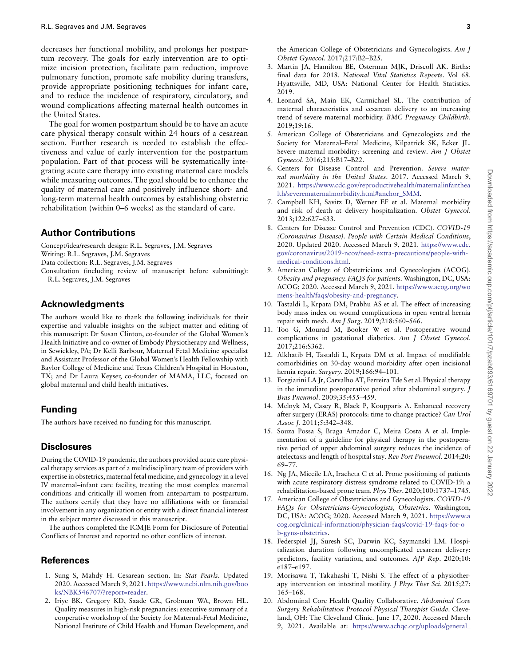decreases her functional mobility, and prolongs her postpartum recovery. The goals for early intervention are to optimize incision protection, facilitate pain reduction, improve pulmonary function, promote safe mobility during transfers, provide appropriate positioning techniques for infant care, and to reduce the incidence of respiratory, circulatory, and wound complications affecting maternal health outcomes in the United States.

The goal for women postpartum should be to have an acute care physical therapy consult within 24 hours of a cesarean section. Further research is needed to establish the effectiveness and value of early intervention for the postpartum population. Part of that process will be systematically integrating acute care therapy into existing maternal care models while measuring outcomes. The goal should be to enhance the quality of maternal care and positively influence short- and long-term maternal health outcomes by establishing obstetric rehabilitation (within 0–6 weeks) as the standard of care.

#### **Author Contributions**

Concept/idea/research design: R.L. Segraves, J.M. Segraves Writing: R.L. Segraves, J.M. Segraves Data collection: R.L. Segraves, J.M. Segraves Consultation (including review of manuscript before submitting):

R.L. Segraves, J.M. Segraves

## **Acknowledgments**

The authors would like to thank the following individuals for their expertise and valuable insights on the subject matter and editing of this manuscript: Dr Susan Clinton, co-founder of the Global Women's Health Initiative and co-owner of Embody Physiotherapy and Wellness, in Sewickley, PA; Dr Kelli Barbour, Maternal Fetal Medicine specialist and Assistant Professor of the Global Women's Health Fellowship with Baylor College of Medicine and Texas Children's Hospital in Houston, TX; and Dr Laura Keyser, co-founder of MAMA, LLC, focused on global maternal and child health initiatives.

## **Funding**

The authors have received no funding for this manuscript.

## **Disclosures**

During the COVID-19 pandemic, the authors provided acute care physical therapy services as part of a multidisciplinary team of providers with expertise in obstetrics, maternal fetal medicine, and gynecology in a level IV maternal–infant care facility, treating the most complex maternal conditions and critically ill women from antepartum to postpartum. The authors certify that they have no affiliations with or financial involvement in any organization or entity with a direct financial interest in the subject matter discussed in this manuscript.

The authors completed the ICMJE Form for Disclosure of Potential Conflicts of Interest and reported no other conflicts of interest.

## **References**

- <span id="page-2-0"></span>1. Sung S, Mahdy H. Cesarean section. In: Stat Pearls. Updated 2020. Accessed March 9, 2021. [https://www.ncbi.nlm.nih.gov/boo](https://www.ncbi.nlm.nih.gov/books/NBK546707/?report=reader) [ks/NBK546707/?report=reader.](https://www.ncbi.nlm.nih.gov/books/NBK546707/?report=reader)
- <span id="page-2-1"></span>2. Iriye BK, Gregory KD, Saade GR, Grobman WA, Brown HL. Quality measures in high-risk pregnancies: executive summary of a cooperative workshop of the Society for Maternal-Fetal Medicine, National Institute of Child Health and Human Development, and

the American College of Obstetricians and Gynecologists. Am J Obstet Gynecol. 2017;217:B2–B25.

- <span id="page-2-2"></span>3. Martin JA, Hamilton BE, Osterman MJK, Driscoll AK. Births: final data for 2018. National Vital Statistics Reports. Vol 68. Hyattsville, MD, USA: National Center for Health Statistics. 2019.
- <span id="page-2-3"></span>4. Leonard SA, Main EK, Carmichael SL. The contribution of maternal characteristics and cesarean delivery to an increasing trend of severe maternal morbidity. BMC Pregnancy Childbirth. 2019;19:16.
- <span id="page-2-4"></span>5. American College of Obstetricians and Gynecologists and the Society for Maternal–Fetal Medicine, Kilpatrick SK, Ecker JL. Severe maternal morbidity: screening and review. Am J Obstet Gynecol. 2016;215:B17–B22.
- <span id="page-2-5"></span>6. Centers for Disease Control and Prevention. Severe maternal morbidity in the United States. 2017. Accessed March 9, 2021. [https://www.cdc.gov/reproductivehealth/maternalinfanthea](https://www.cdc.gov/reproductivehealth/maternalinfanthealth/severematernalmorbidity.html#anchor_SMM) [lth/severematernalmorbidity.html#anchor\\_SMM.](https://www.cdc.gov/reproductivehealth/maternalinfanthealth/severematernalmorbidity.html#anchor_SMM)
- <span id="page-2-6"></span>7. Campbell KH, Savitz D, Werner EF et al. Maternal morbidity and risk of death at delivery hospitalization. Obstet Gynecol. 2013;122:627–633.
- <span id="page-2-7"></span>8. Centers for Disease Control and Prevention (CDC). COVID-19 (Coronavirus Disease). People with Certain Medical Conditions, 2020. Updated 2020. Accessed March 9, 2021. [https://www.cdc.](https://www.cdc.gov/coronavirus/2019-ncov/need-extra-precautions/people-with-medical-conditions.html) [gov/coronavirus/2019-ncov/need-extra-precautions/people-with](https://www.cdc.gov/coronavirus/2019-ncov/need-extra-precautions/people-with-medical-conditions.html)[medical-conditions.html.](https://www.cdc.gov/coronavirus/2019-ncov/need-extra-precautions/people-with-medical-conditions.html)
- <span id="page-2-8"></span>9. American College of Obstetricians and Gynecologists (ACOG). Obesity and pregnancy. FAQS for patients. Washington, DC, USA: ACOG; 2020. Accessed March 9, 2021. [https://www.acog.org/wo](https://www.acog.org/womens-health/faqs/obesity-and-pregnancy) [mens-health/faqs/obesity-and-pregnancy.](https://www.acog.org/womens-health/faqs/obesity-and-pregnancy)
- <span id="page-2-9"></span>10. Tastaldi L, Krpata DM, Prabhu AS et al. The effect of increasing body mass index on wound complications in open ventral hernia repair with mesh. Am J Surg. 2019;218:560–566.
- <span id="page-2-10"></span>11. Too G, Mourad M, Booker W et al. Postoperative wound complications in gestational diabetics. Am J Obstet Gynecol. 2017;216:S362.
- <span id="page-2-11"></span>12. Alkhatib H, Tastaldi L, Krpata DM et al. Impact of modifiable comorbidities on 30-day wound morbidity after open incisional hernia repair. Surgery. 2019;166:94–101.
- <span id="page-2-12"></span>13. Forgiarini LA Jr, Carvalho AT, Ferreira Tde S et al. Physical therapy in the immediate postoperative period after abdominal surgery. J Bras Pneumol. 2009;35:455–459.
- <span id="page-2-13"></span>14. Melnyk M, Casey R, Black P, Koupparis A. Enhanced recovery after surgery (ERAS) protocols: time to change practice? Can Urol Assoc J. 2011;5:342–348.
- <span id="page-2-14"></span>15. Souza Possa S, Braga Amador C, Meira Costa A et al. Implementation of a guideline for physical therapy in the postoperative period of upper abdominal surgery reduces the incidence of atelectasis and length of hospital stay. Rev Port Pneumol. 2014;20: 69–77.
- <span id="page-2-15"></span>16. Ng JA, Miccile LA, Iracheta C et al. Prone positioning of patients with acute respiratory distress syndrome related to COVID-19: a rehabilitation-based prone team. Phys Ther. 2020;100:1737–1745.
- <span id="page-2-16"></span>17. American College of Obstetricians and Gynecologists. COVID-19 FAQs for Obstetricians-Gynecologists, Obstetrics. Washington, DC, USA: ACOG; 2020. Accessed March 9, 2021. [https://www.a](https://www.acog.org/clinical-information/physician-faqs/covid-19-faqs-for-ob-gyns-obstetrics) [cog.org/clinical-information/physician-faqs/covid-19-faqs-for-o](https://www.acog.org/clinical-information/physician-faqs/covid-19-faqs-for-ob-gyns-obstetrics) [b-gyns-obstetrics.](https://www.acog.org/clinical-information/physician-faqs/covid-19-faqs-for-ob-gyns-obstetrics)
- <span id="page-2-17"></span>18. Federspiel JJ, Suresh SC, Darwin KC, Szymanski LM. Hospitalization duration following uncomplicated cesarean delivery: predictors, facility variation, and outcomes. AJP Rep. 2020;10: e187–e197.
- <span id="page-2-18"></span>19. Morisawa T, Takahashi T, Nishi S. The effect of a physiotherapy intervention on intestinal motility. J Phys Ther Sci. 2015;27: 165–168.
- <span id="page-2-19"></span>20. Abdominal Core Health Quality Collaborative. Abdominal Core Surgery Rehabilitation Protocol Physical Therapist Guide. Cleveland, OH: The Cleveland Clinic. June 17, 2020. Accessed March 9, 2021. Available at: [https://www.achqc.org/uploads/general\\_](https://www.achqc.org/uploads/general_images/ACHQC_Abdominal_Core_Surgery_Rehabilitation_Protocol_Physical_Therapist_Guide_6.17.20.pdf)